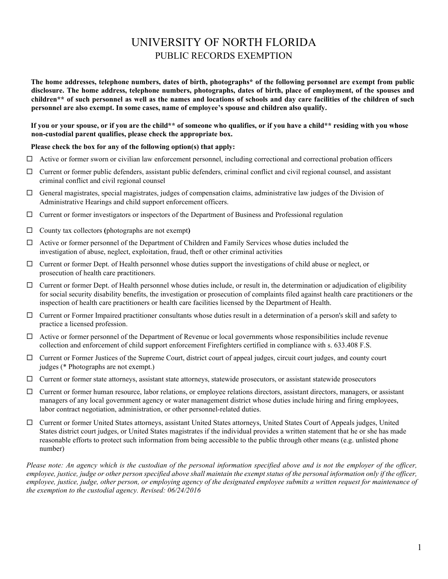## UNIVERSITY OF NORTH FLORIDA PUBLIC RECORDS EXEMPTION

**The home addresses, telephone numbers, dates of birth, photographs\* of the following personnel are exempt from public disclosure. The home address, telephone numbers, photographs, dates of birth, place of employment, of the spouses and children\*\* of such personnel as well as the names and locations of schools and day care facilities of the children of such personnel are also exempt. In some cases, name of employee's spouse and children also qualify.** 

**If you or your spouse, or if you are the child\*\* of someone who qualifies, or if you have a child\*\* residing with you whose non-custodial parent qualifies, please check the appropriate box.** 

## **Please check the box for any of the following option(s) that apply:**

- $\Box$  Active or former sworn or civilian law enforcement personnel, including correctional and correctional probation officers
- $\Box$  Current or former public defenders, assistant public defenders, criminal conflict and civil regional counsel, and assistant criminal conflict and civil regional counsel
- $\Box$  General magistrates, special magistrates, judges of compensation claims, administrative law judges of the Division of Administrative Hearings and child support enforcement officers.
- $\Box$  Current or former investigators or inspectors of the Department of Business and Professional regulation
- $\Box$  County tax collectors (photographs are not exempt)
- Active or former personnel of the Department of Children and Family Services whose duties included the investigation of abuse, neglect, exploitation, fraud, theft or other criminal activities
- $\Box$  Current or former Dept. of Health personnel whose duties support the investigations of child abuse or neglect, or prosecution of health care practitioners.
- $\Box$  Current or former Dept. of Health personnel whose duties include, or result in, the determination or adjudication of eligibility for social security disability benefits, the investigation or prosecution of complaints filed against health care practitioners or the inspection of health care practitioners or health care facilities licensed by the Department of Health.
- $\Box$  Current or Former Impaired practitioner consultants whose duties result in a determination of a person's skill and safety to practice a licensed profession.
- $\Box$  Active or former personnel of the Department of Revenue or local governments whose responsibilities include revenue collection and enforcement of child support enforcement Firefighters certified in compliance with s. 633.408 F.S.
- judges (\* Photographs are not exempt.)  $\Box$  Current or Former Justices of the Supreme Court, district court of appeal judges, circuit court judges, and county court
- $\Box$  Current or former state attorneys, assistant state attorneys, statewide prosecutors, or assistant statewide prosecutors
- labor contract negotiation, administration, or other personnel-related duties.  $\Box$  Current or former human resource, labor relations, or employee relations directors, assistant directors, managers, or assistant managers of any local government agency or water management district whose duties include hiring and firing employees,
- States district court judges, or United States magistrates if the individual provides a written statement that he or she has made Current or former United States attorneys, assistant United States attorneys, United States Court of Appeals judges, United reasonable efforts to protect such information from being accessible to the public through other means (e.g. unlisted phone number)

 *Please note: An agency which is the custodian of the personal information specified above and is not the employer of the officer, employee, justice, judge or other person specified above shall maintain the exempt status of the personal information only if the officer, employee, justice, judge, other person, or employing agency of the designated employee submits a written request for maintenance of the exemption to the custodial agency. Revised: 06/24/2016*